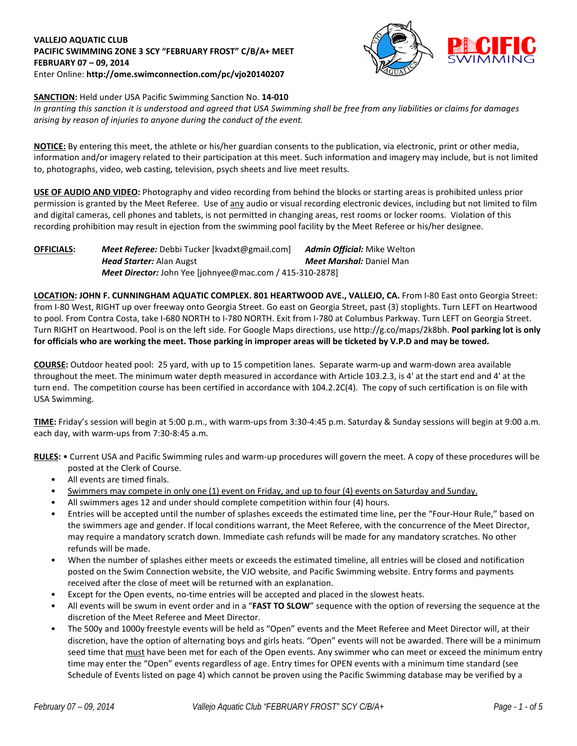#### **VALLEJO AQUATIC CLUB PACIFIC SWIMMING ZONE 3 SCY "FEBRUARY FROST" C/B/A+ MEET FEBRUARY 07 – 09, 2014** Enter Online: **http://ome.swimconnection.com/pc/vjo20140207**



# **SANCTION:** Held under USA Pacific Swimming Sanction No. **14-010**

*In granting this sanction it is understood and agreed that USA Swimming shall be free from any liabilities or claims for damages arising by reason of injuries to anyone during the conduct of the event.*

**NOTICE:** By entering this meet, the athlete or his/her guardian consents to the publication, via electronic, print or other media, information and/or imagery related to their participation at this meet. Such information and imagery may include, but is not limited to, photographs, video, web casting, television, psych sheets and live meet results.

**USE OF AUDIO AND VIDEO:** Photography and video recording from behind the blocks or starting areas is prohibited unless prior permission is granted by the Meet Referee. Use of any audio or visual recording electronic devices, including but not limited to film and digital cameras, cell phones and tablets, is not permitted in changing areas, rest rooms or locker rooms. Violation of this recording prohibition may result in ejection from the swimming pool facility by the Meet Referee or his/her designee.

#### **OFFICIALS:** *Meet Referee:* Debbi Tucker [kvadxt@gmail.com] *Admin Official:* Mike Welton *Head Starter:* Alan Augst *Meet Marshal:* Daniel Man *Meet Director:* John Yee [johnyee@mac.com / 415-310-2878]

**LOCATION: JOHN F. CUNNINGHAM AQUATIC COMPLEX. 801 HEARTWOOD AVE., VALLEJO, CA.** From I-80 East onto Georgia Street: from I-80 West, RIGHT up over freeway onto Georgia Street. Go east on Georgia Street, past (3) stoplights. Turn LEFT on Heartwood to pool. From Contra Costa, take I-680 NORTH to I-780 NORTH. Exit from I-780 at Columbus Parkway. Turn LEFT on Georgia Street. Turn RIGHT on Heartwood. Pool is on the left side. For Google Maps directions, use http://g.co/maps/2k8bh. **Pool parking lot is only for officials who are working the meet. Those parking in improper areas will be ticketed by V.P.D and may be towed.**

**COURSE:** Outdoor heated pool: 25 yard, with up to 15 competition lanes. Separate warm-up and warm-down area available throughout the meet. The minimum water depth measured in accordance with Article 103.2.3, is 4' at the start end and 4' at the turn end. The competition course has been certified in accordance with 104.2.2C(4). The copy of such certification is on file with USA Swimming.

**TIME:** Friday's session will begin at 5:00 p.m., with warm-ups from 3:30-4:45 p.m. Saturday & Sunday sessions will begin at 9:00 a.m. each day, with warm-ups from 7:30-8:45 a.m.

**RULES:** • Current USA and Pacific Swimming rules and warm-up procedures will govern the meet. A copy of these procedures will be posted at the Clerk of Course.

- All events are timed finals.
- Swimmers may compete in only one (1) event on Friday, and up to four (4) events on Saturday and Sunday.
- All swimmers ages 12 and under should complete competition within four (4) hours.
- Entries will be accepted until the number of splashes exceeds the estimated time line, per the "Four-Hour Rule," based on the swimmers age and gender. If local conditions warrant, the Meet Referee, with the concurrence of the Meet Director, may require a mandatory scratch down. Immediate cash refunds will be made for any mandatory scratches. No other refunds will be made.
- When the number of splashes either meets or exceeds the estimated timeline, all entries will be closed and notification posted on the Swim Connection website, the VJO website, and Pacific Swimming website. Entry forms and payments received after the close of meet will be returned with an explanation.
- Except for the Open events, no-time entries will be accepted and placed in the slowest heats.
- All events will be swum in event order and in a "**FAST TO SLOW**" sequence with the option of reversing the sequence at the discretion of the Meet Referee and Meet Director.
- The 500y and 1000y freestyle events will be held as "Open" events and the Meet Referee and Meet Director will, at their discretion, have the option of alternating boys and girls heats. "Open" events will not be awarded. There will be a minimum seed time that must have been met for each of the Open events. Any swimmer who can meet or exceed the minimum entry time may enter the "Open" events regardless of age. Entry times for OPEN events with a minimum time standard (see Schedule of Events listed on page 4) which cannot be proven using the Pacific Swimming database may be verified by a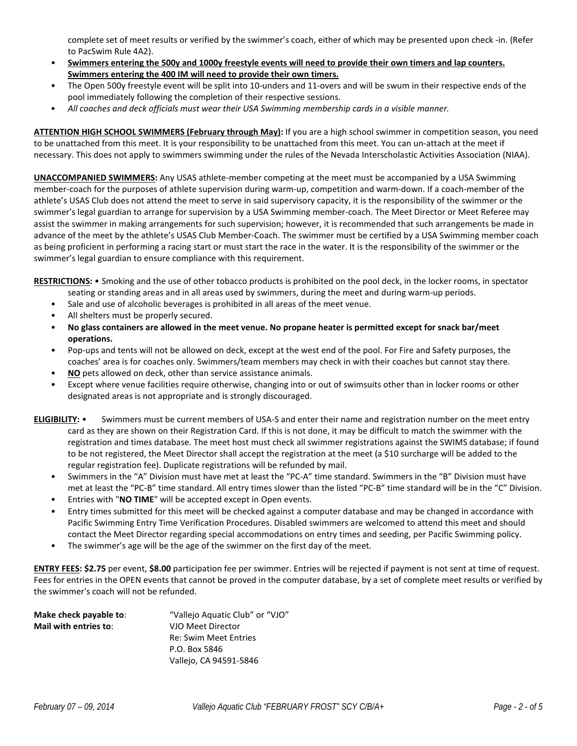complete set of meet results or verified by the swimmer's coach, either of which may be presented upon check -in. (Refer to PacSwim Rule 4A2).

- **Swimmers entering the 500y and 1000y freestyle events will need to provide their own timers and lap counters. Swimmers entering the 400 IM will need to provide their own timers.**
- The Open 500y freestyle event will be split into 10-unders and 11-overs and will be swum in their respective ends of the pool immediately following the completion of their respective sessions.
- *All coaches and deck officials must wear their USA Swimming membership cards in a visible manner.*

**ATTENTION HIGH SCHOOL SWIMMERS (February through May):** If you are a high school swimmer in competition season, you need to be unattached from this meet. It is your responsibility to be unattached from this meet. You can un-attach at the meet if necessary. This does not apply to swimmers swimming under the rules of the Nevada Interscholastic Activities Association (NIAA).

**UNACCOMPANIED SWIMMERS:** Any USAS athlete-member competing at the meet must be accompanied by a USA Swimming member-coach for the purposes of athlete supervision during warm-up, competition and warm-down. If a coach-member of the athlete's USAS Club does not attend the meet to serve in said supervisory capacity, it is the responsibility of the swimmer or the swimmer's legal guardian to arrange for supervision by a USA Swimming member-coach. The Meet Director or Meet Referee may assist the swimmer in making arrangements for such supervision; however, it is recommended that such arrangements be made in advance of the meet by the athlete's USAS Club Member-Coach. The swimmer must be certified by a USA Swimming member coach as being proficient in performing a racing start or must start the race in the water. It is the responsibility of the swimmer or the swimmer's legal guardian to ensure compliance with this requirement.

**RESTRICTIONS:** • Smoking and the use of other tobacco products is prohibited on the pool deck, in the locker rooms, in spectator

- seating or standing areas and in all areas used by swimmers, during the meet and during warm-up periods.
- Sale and use of alcoholic beverages is prohibited in all areas of the meet venue.
- All shelters must be properly secured.
- **No glass containers are allowed in the meet venue. No propane heater is permitted except for snack bar/meet operations.**
- Pop-ups and tents will not be allowed on deck, except at the west end of the pool. For Fire and Safety purposes, the coaches' area is for coaches only. Swimmers/team members may check in with their coaches but cannot stay there.
- **NO** pets allowed on deck, other than service assistance animals.
- Except where venue facilities require otherwise, changing into or out of swimsuits other than in locker rooms or other designated areas is not appropriate and is strongly discouraged.
- **ELIGIBILITY:**  Swimmers must be current members of USA-S and enter their name and registration number on the meet entry card as they are shown on their Registration Card. If this is not done, it may be difficult to match the swimmer with the registration and times database. The meet host must check all swimmer registrations against the SWIMS database; if found to be not registered, the Meet Director shall accept the registration at the meet (a \$10 surcharge will be added to the regular registration fee). Duplicate registrations will be refunded by mail.
	- Swimmers in the "A" Division must have met at least the "PC-A" time standard. Swimmers in the "B" Division must have met at least the "PC-B" time standard. All entry times slower than the listed "PC-B" time standard will be in the "C" Division.
	- Entries with "**NO TIME**" will be accepted except in Open events.
	- Entry times submitted for this meet will be checked against a computer database and may be changed in accordance with Pacific Swimming Entry Time Verification Procedures. Disabled swimmers are welcomed to attend this meet and should contact the Meet Director regarding special accommodations on entry times and seeding, per Pacific Swimming policy.
	- The swimmer's age will be the age of the swimmer on the first day of the meet.

**ENTRY FEES: \$2.75** per event, **\$8.00** participation fee per swimmer. Entries will be rejected if payment is not sent at time of request. Fees for entries in the OPEN events that cannot be proved in the computer database, by a set of complete meet results or verified by the swimmer's coach will not be refunded.

| Make check payable to: | "Vallejo Aquatic Club" or "VJO" |
|------------------------|---------------------------------|
| Mail with entries to:  | VJO Meet Director               |
|                        | <b>Re: Swim Meet Entries</b>    |
|                        | P.O. Box 5846                   |
|                        | Vallejo, CA 94591-5846          |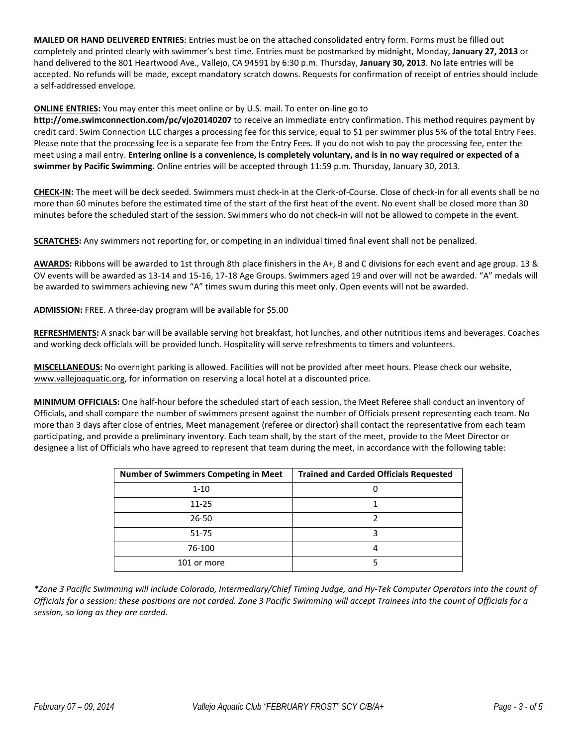**MAILED OR HAND DELIVERED ENTRIES**: Entries must be on the attached consolidated entry form. Forms must be filled out completely and printed clearly with swimmer's best time. Entries must be postmarked by midnight, Monday, **January 27, 2013** or hand delivered to the 801 Heartwood Ave., Vallejo, CA 94591 by 6:30 p.m. Thursday, **January 30, 2013**. No late entries will be accepted. No refunds will be made, except mandatory scratch downs. Requests for confirmation of receipt of entries should include a self-addressed envelope.

# **ONLINE ENTRIES:** You may enter this meet online or by U.S. mail. To enter on-line go to

**http://ome.swimconnection.com/pc/vjo20140207** to receive an immediate entry confirmation. This method requires payment by credit card. Swim Connection LLC charges a processing fee for this service, equal to \$1 per swimmer plus 5% of the total Entry Fees. Please note that the processing fee is a separate fee from the Entry Fees. If you do not wish to pay the processing fee, enter the meet using a mail entry. **Entering online is a convenience, is completely voluntary, and is in no way required or expected of a swimmer by Pacific Swimming.** Online entries will be accepted through 11:59 p.m. Thursday, January 30, 2013.

**CHECK-IN:** The meet will be deck seeded. Swimmers must check-in at the Clerk-of-Course. Close of check-in for all events shall be no more than 60 minutes before the estimated time of the start of the first heat of the event. No event shall be closed more than 30 minutes before the scheduled start of the session. Swimmers who do not check-in will not be allowed to compete in the event.

**SCRATCHES:** Any swimmers not reporting for, or competing in an individual timed final event shall not be penalized.

**AWARDS:** Ribbons will be awarded to 1st through 8th place finishers in the A+, B and C divisions for each event and age group. 13 & OV events will be awarded as 13-14 and 15-16, 17-18 Age Groups. Swimmers aged 19 and over will not be awarded. "A" medals will be awarded to swimmers achieving new "A" times swum during this meet only. Open events will not be awarded.

**ADMISSION:** FREE. A three-day program will be available for \$5.00

**REFRESHMENTS:** A snack bar will be available serving hot breakfast, hot lunches, and other nutritious items and beverages. Coaches and working deck officials will be provided lunch. Hospitality will serve refreshments to timers and volunteers.

**MISCELLANEOUS:** No overnight parking is allowed. Facilities will not be provided after meet hours. Please check our website, www.vallejoaquatic.org, for information on reserving a local hotel at a discounted price.

**MINIMUM OFFICIALS:** One half-hour before the scheduled start of each session, the Meet Referee shall conduct an inventory of Officials, and shall compare the number of swimmers present against the number of Officials present representing each team. No more than 3 days after close of entries, Meet management (referee or director) shall contact the representative from each team participating, and provide a preliminary inventory. Each team shall, by the start of the meet, provide to the Meet Director or designee a list of Officials who have agreed to represent that team during the meet, in accordance with the following table:

| <b>Number of Swimmers Competing in Meet</b> | <b>Trained and Carded Officials Requested</b> |
|---------------------------------------------|-----------------------------------------------|
| $1 - 10$                                    |                                               |
| $11 - 25$                                   |                                               |
| $26 - 50$                                   |                                               |
| $51 - 75$                                   |                                               |
| 76-100                                      |                                               |
| 101 or more                                 |                                               |

*\*Zone 3 Pacific Swimming will include Colorado, Intermediary/Chief Timing Judge, and Hy-Tek Computer Operators into the count of Officials for a session: these positions are not carded. Zone 3 Pacific Swimming will accept Trainees into the count of Officials for a session, so long as they are carded.*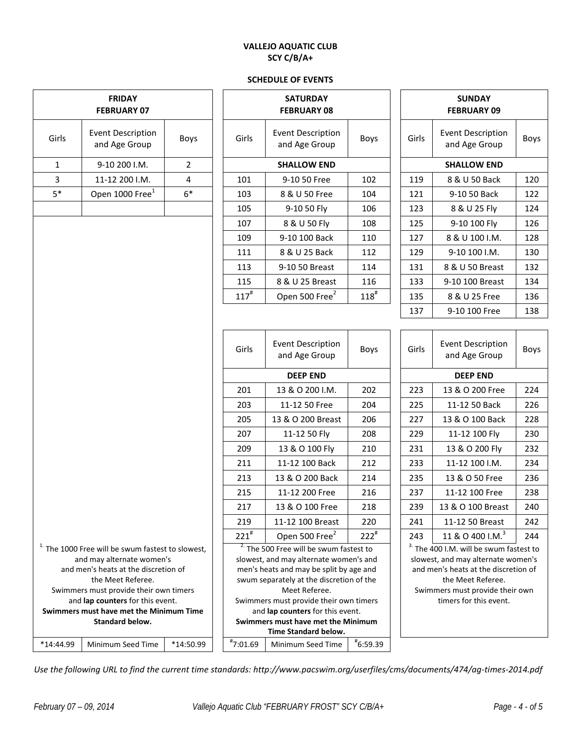# **VALLEJO AQUATIC CLUB SCY C/B/A+**

#### **SCHEDULE OF EVENTS**

| <b>FRIDAY</b><br><b>FEBRUARY 07</b> |                                                                   |                |     |              | <b>SATURDAY</b><br><b>FEBRUARY 08</b>                                             |             | <b>SUNDAY</b><br><b>FEBRUARY 09</b> |               |                                                                            |      |
|-------------------------------------|-------------------------------------------------------------------|----------------|-----|--------------|-----------------------------------------------------------------------------------|-------------|-------------------------------------|---------------|----------------------------------------------------------------------------|------|
| Girls                               | <b>Event Description</b><br>and Age Group                         | Boys           |     | Girls        | <b>Event Description</b><br>and Age Group                                         | <b>Boys</b> |                                     | Girls         | <b>Event Description</b><br>and Age Group                                  | Boy: |
| $\mathbf{1}$                        | 9-10 200 I.M.                                                     | $\overline{2}$ |     |              | <b>SHALLOW END</b>                                                                |             |                                     |               | <b>SHALLOW END</b>                                                         |      |
| 3<br>11-12 200 I.M.<br>4            |                                                                   |                | 101 | 9-10 50 Free | 102                                                                               |             | 119                                 | 8 & U 50 Back | 120                                                                        |      |
| $5*$                                | Open 1000 Free <sup>1</sup>                                       | $6*$           |     | 103          | 8 & U 50 Free                                                                     | 104         |                                     | 121           | 9-10 50 Back                                                               | 122  |
|                                     |                                                                   |                |     | 105          | 9-10 50 Fly                                                                       | 106         |                                     | 123           | 8 & U 25 Fly                                                               | 124  |
|                                     |                                                                   |                |     | 107          | 8 & U 50 Fly                                                                      | 108         |                                     | 125           | 9-10 100 Fly                                                               | 126  |
|                                     |                                                                   |                |     | 109          | 9-10 100 Back                                                                     | 110         |                                     | 127           | 8 & U 100 I.M.                                                             | 128  |
|                                     |                                                                   |                |     | 111          | 8 & U 25 Back                                                                     | 112         |                                     | 129           | 9-10 100 I.M.                                                              | 130  |
|                                     |                                                                   |                |     | 113          | 9-10 50 Breast                                                                    | 114         |                                     | 131           | 8 & U 50 Breast                                                            | 132  |
|                                     |                                                                   |                |     | 115          | 8 & U 25 Breast                                                                   | 116         |                                     | 133           | 9-10 100 Breast                                                            | 134  |
|                                     |                                                                   |                |     | $117^{#}$    | Open 500 Free <sup>2</sup>                                                        | $118^{#}$   |                                     | 135           | 8 & U 25 Free                                                              | 136  |
|                                     |                                                                   |                |     |              |                                                                                   |             |                                     | 137           | 9-10 100 Free                                                              | 138  |
|                                     |                                                                   |                |     |              |                                                                                   |             |                                     |               |                                                                            |      |
|                                     |                                                                   |                |     | Girls        | <b>Event Description</b><br>and Age Group                                         | Boys        |                                     | Girls         | <b>Event Description</b><br>and Age Group                                  | Boy: |
|                                     |                                                                   |                |     |              | <b>DEEP END</b>                                                                   |             | <b>DEEP END</b>                     |               |                                                                            |      |
|                                     |                                                                   |                |     | 201          | 13 & O 200 I.M.                                                                   | 202         |                                     | 223           | 13 & O 200 Free                                                            | 224  |
|                                     |                                                                   |                |     | 203          | 11-12 50 Free                                                                     | 204         |                                     | 225           | 11-12 50 Back                                                              | 226  |
|                                     |                                                                   |                |     | 205          | 13 & O 200 Breast                                                                 | 206         |                                     | 227           | 13 & O 100 Back                                                            | 228  |
|                                     |                                                                   |                |     | 207          | 11-12 50 Fly                                                                      | 208         |                                     | 229           | 11-12 100 Fly                                                              | 230  |
|                                     |                                                                   |                |     | 209          | 13 & O 100 Fly                                                                    | 210         |                                     | 231           | 13 & O 200 Fly                                                             | 232  |
|                                     |                                                                   |                |     | 211          | 11-12 100 Back                                                                    | 212         |                                     | 233           | 11-12 100 I.M.                                                             | 234  |
|                                     |                                                                   |                |     | 213          | 13 & O 200 Back                                                                   | 214         |                                     | 235           | 13 & O 50 Free                                                             | 236  |
|                                     |                                                                   |                |     | 215          | 11-12 200 Free                                                                    | 216         |                                     | 237           | 11-12 100 Free                                                             | 238  |
|                                     |                                                                   |                |     | 217          | 13 & O 100 Free                                                                   | 218         |                                     | 239           | 13 & O 100 Breast                                                          | 240  |
|                                     |                                                                   |                |     | 219          | 11-12 100 Breast                                                                  | 220         |                                     | 241           | 11-12 50 Breast                                                            | 242  |
|                                     |                                                                   |                |     | $221^{#}$    | Open 500 Free <sup>2</sup>                                                        | $222^{\#}$  |                                     | 243           | 11 & O 400 I.M. <sup>3</sup>                                               | 244  |
|                                     | <sup>1.</sup> The 1000 Free will be swum fastest to slowest,      |                |     |              | <sup>2</sup> The 500 Free will be swum fastest to                                 |             |                                     |               | <sup>3.</sup> The 400 I.M. will be swum fastest to                         |      |
|                                     | and may alternate women's<br>and men's heats at the discretion of |                |     |              | slowest, and may alternate women's and<br>men's heats and may be split by age and |             |                                     |               | slowest, and may alternate women's<br>and men's heats at the discretion of |      |
|                                     | the Meet Referee.                                                 |                |     |              | swum separately at the discretion of the                                          |             |                                     |               | the Meet Referee.                                                          |      |
|                                     | Swimmers must provide their own timers                            |                |     |              | Meet Referee.                                                                     |             |                                     |               | Swimmers must provide their own                                            |      |
|                                     | and lap counters for this event.                                  |                |     |              | Swimmers must provide their own timers                                            |             |                                     |               | timers for this event.                                                     |      |
|                                     | Swimmers must have met the Minimum Time<br><b>Standard below.</b> |                |     |              | and lap counters for this event.<br>Swimmers must have met the Minimum            |             |                                     |               |                                                                            |      |
|                                     |                                                                   |                |     |              | Time Standard below.                                                              |             |                                     |               |                                                                            |      |
| *14:44.99                           | Minimum Seed Time                                                 | *14:50.99      |     | $*7:01.69$   | Minimum Seed Time                                                                 | $*6:59.39$  |                                     |               |                                                                            |      |
|                                     |                                                                   |                |     |              |                                                                                   |             |                                     |               |                                                                            |      |

|                    | <b>SATURDAY</b><br><b>FEBRUARY 08</b>      |           |       | <b>SUNDAY</b><br><b>FEBRUARY 09</b>       |      |
|--------------------|--------------------------------------------|-----------|-------|-------------------------------------------|------|
| Girls              | Event Description<br>Boys<br>and Age Group |           | Girls | <b>Event Description</b><br>and Age Group | Boys |
|                    | <b>SHALLOW END</b>                         |           |       | <b>SHALLOW END</b>                        |      |
| 101                | 9-10 50 Free                               | 102       | 119   | 8 & U 50 Back                             | 120  |
| 103                | 8 & U 50 Free                              | 104       | 121   | 9-10 50 Back                              | 122  |
| 105                | 9-10 50 Fly                                | 106       | 123   | 8 & U 25 Fly                              | 124  |
| 107                | 8 & U 50 Fly                               | 108       | 125   | 9-10 100 Fly                              | 126  |
| 109                | 9-10 100 Back                              | 110       | 127   | 8 & U 100 I.M.                            | 128  |
| 111                | 8 & U 25 Back                              | 112       | 129   | 9-10 100 I.M.                             | 130  |
| 113                | 9-10 50 Breast                             | 114       | 131   | 8 & U 50 Breast                           | 132  |
| 115                | 8 & U 25 Breast                            | 116       | 133   | 9-10 100 Breast                           | 134  |
| $117^{\texttt{#}}$ | Open 500 Free <sup>2</sup>                 | $118^{#}$ | 135   | 8 & U 25 Free                             | 136  |
|                    |                                            |           | 137   | 9-10 100 Free                             | 138  |

| Girls     | <b>Event Description</b><br>and Age Group | Boys       |  | Girls | <b>Event Description</b><br>and Age Group | <b>Boys</b> |
|-----------|-------------------------------------------|------------|--|-------|-------------------------------------------|-------------|
|           | <b>DEEP END</b>                           |            |  |       | <b>DEEP END</b>                           |             |
| 201       | 13 & O 200 I.M.                           | 202        |  | 223   | 13 & O 200 Free                           | 224         |
| 203       | 11-12 50 Free                             | 204        |  | 225   | 11-12 50 Back                             | 226         |
| 205       | 13 & O 200 Breast                         | 206        |  | 227   | 13 & O 100 Back                           | 228         |
| 207       | 11-12 50 Fly                              | 208        |  | 229   | 11-12 100 Fly                             | 230         |
| 209       | 13 & O 100 Fly                            | 210        |  | 231   | 13 & O 200 Fly                            | 232         |
| 211       | 11-12 100 Back                            | 212        |  | 233   | 11-12 100 I.M.                            | 234         |
| 213       | 13 & O 200 Back                           | 214        |  | 235   | 13 & O 50 Free                            | 236         |
| 215       | 11-12 200 Free                            | 216        |  | 237   | 11-12 100 Free                            | 238         |
| 217       | 13 & O 100 Free                           | 218        |  | 239   | 13 & O 100 Breast                         | 240         |
| 219       | 11-12 100 Breast                          | 220        |  | 241   | 11-12 50 Breast                           | 242         |
| $221^{#}$ | Open 500 Free <sup>2</sup>                | $222^{\#}$ |  | 243   | 11 & O 400 I.M. <sup>3</sup>              | 244         |
|           |                                           |            |  |       |                                           |             |

*Use the following URL to find the current time standards: http://www.pacswim.org/userfiles/cms/documents/474/ag-times-2014.pdf*